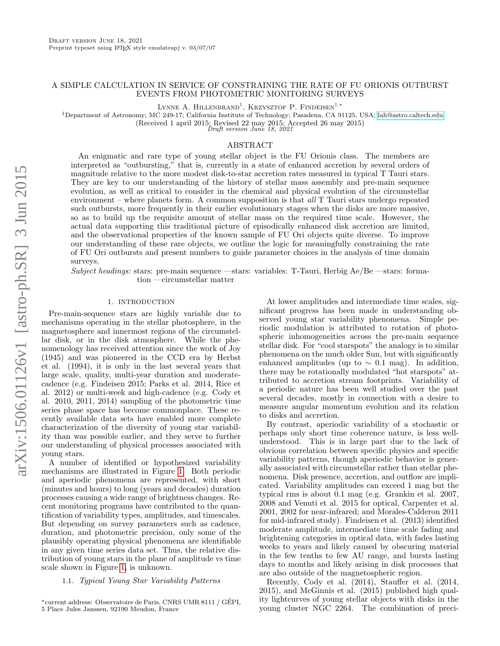# A SIMPLE CALCULATION IN SERVICE OF CONSTRAINING THE RATE OF FU ORIONIS OUTBURST EVENTS FROM PHOTOMETRIC MONITORING SURVEYS

LYNNE A. HILLENBRAND<sup>1</sup>, KRZYSZTOF P. FINDEISEN<sup>1,\*</sup>

<sup>1</sup>Department of Astronomy; MC 249-17; California Institute of Technology; Pasadena, CA 91125, USA; [lah@astro.caltech.edu](mailto:lah@astro.caltech.edu)

(Received 1 april 2015; Revised 22 may 2015; Accepted 26 may 2015)

Draft version June 18, 2021

# ABSTRACT

An enigmatic and rare type of young stellar object is the FU Orionis class. The members are interpreted as "outbursting," that is, currently in a state of enhanced accretion by several orders of magnitude relative to the more modest disk-to-star accretion rates measured in typical T Tauri stars. They are key to our understanding of the history of stellar mass assembly and pre-main sequence evolution, as well as critical to consider in the chemical and physical evolution of the circumstellar environment – where planets form. A common supposition is that all T Tauri stars undergo repeated such outbursts, more frequently in their earlier evolutionary stages when the disks are more massive, so as to build up the requisite amount of stellar mass on the required time scale. However, the actual data supporting this traditional picture of episodically enhanced disk accretion are limited, and the observational properties of the known sample of FU Ori objects quite diverse. To improve our understanding of these rare objects, we outline the logic for meaningfully constraining the rate of FU Ori outbursts and present numbers to guide parameter choices in the analysis of time domain surveys.

Subject headings: stars: pre-main sequence —stars: variables: T-Tauri, Herbig  $Ae/Be$  —stars: formation —circumstellar matter

# 1. INTRODUCTION

Pre-main-sequence stars are highly variable due to mechanisms operating in the stellar photosphere, in the magnetosphere and innermost regions of the circumstellar disk, or in the disk atmosphere. While the phenomenology has received attention since the work of Joy (1945) and was pioneered in the CCD era by Herbst et al. (1994), it is only in the last several years that large scale, quality, multi-year duration and moderatecadence (e.g. Findeisen 2015; Parks et al. 2014, Rice et al. 2012) or multi-week and high-cadence (e.g. Cody et al. 2010, 2011, 2014) sampling of the photometric time series phase space has become commonplace. These recently available data sets have enabled more complete characterization of the diversity of young star variability than was possible earlier, and they serve to further our understanding of physical processes associated with young stars.

A number of identified or hypothesized variability mechanisms are illustrated in Figure [1.](#page-1-0) Both periodic and aperiodic phenomena are represented, with short (minutes and hours) to long (years and decades) duration processes causing a wide range of brightness changes. Recent monitoring programs have contributed to the quantification of variability types, amplitudes, and timescales. But depending on survey parameters such as cadence, duration, and photometric precision, only some of the plausibly operating physical phenomena are identifiable in any given time series data set. Thus, the relative distribution of young stars in the plane of amplitude vs time scale shown in Figure [1,](#page-1-0) is unknown.

## 1.1. Typical Young Star Variability Patterns

At lower amplitudes and intermediate time scales, significant progress has been made in understanding observed young star variability phenomena. Simple periodic modulation is attributed to rotation of photospheric inhomogeneities across the pre-main sequence stellar disk. For "cool starspots" the analogy is to similar phenomena on the much older Sun, but with significantly enhanced amplitudes (up to  $\sim$  0.1 mag). In addition, there may be rotationally modulated "hot starspots" attributed to accretion stream footprints. Variability of a periodic nature has been well studied over the past several decades, mostly in connection with a desire to measure angular momentum evolution and its relation to disks and accretion.

By contrast, aperiodic variability of a stochastic or perhaps only short time coherence nature, is less wellunderstood. This is in large part due to the lack of obvious correlation between specific physics and specific variability patterns, though aperiodic behavior is generally associated with circumstellar rather than stellar phenomena. Disk presence, accretion, and outflow are implicated. Variability amplitudes can exceed 1 mag but the typical rms is about 0.1 mag (e.g. Grankin et al. 2007, 2008 and Venuti et al. 2015 for optical, Carpenter et al. 2001, 2002 for near-infrared; and Morales-Calderon 2011 for mid-infrared study). Findeisen et al. (2013) identified moderate amplitude, intermediate time scale fading and brightening categories in optical data, with fades lasting weeks to years and likely caused by obscuring material in the few tenths to few AU range, and bursts lasting days to months and likely arising in disk processes that are also outside of the magnetospheric region.

Recently, Cody et al. (2014), Stauffer et al. (2014, 2015), and McGinnis et al. (2015) published high quality lightcurves of young stellar objects with disks in the young cluster NGC 2264. The combination of preci-

<sup>∗</sup>current address: Observatoire de Paris, CNRS UMR 8111 / GEPI, ´ 5 Place Jules Janssen, 92190 Meudon, France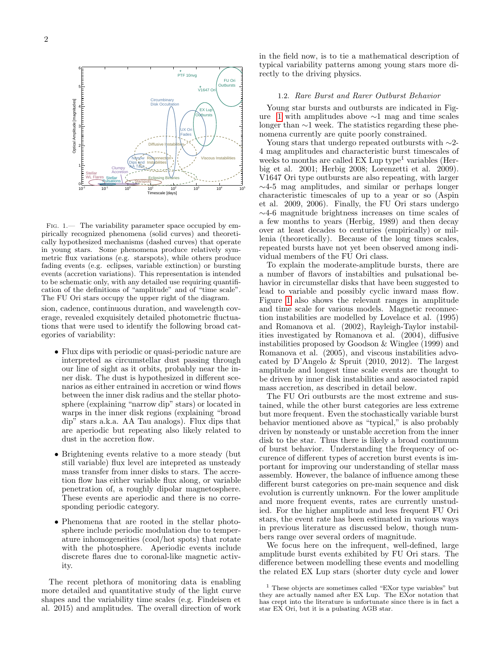

<span id="page-1-0"></span>Fig. 1.— The variability parameter space occupied by empirically recognized phenomena (solid curves) and theoretically hypothesized mechanisms (dashed curves) that operate in young stars. Some phenomena produce relatively symmetric flux variations (e.g. starspots), while others produce fading events (e.g. eclipses, variable extinction) or bursting events (accretion variations). This representation is intended to be schematic only, with any detailed use requiring quantification of the definitions of "amplitude" and of "time scale". The FU Ori stars occupy the upper right of the diagram.

sion, cadence, continuous duration, and wavelength coverage, revealed exquisitely detailed photometric fluctuations that were used to identify the following broad categories of variability:

- Flux dips with periodic or quasi-periodic nature are interpreted as circumstellar dust passing through our line of sight as it orbits, probably near the inner disk. The dust is hypothesized in different scenarios as either entrained in accretion or wind flows between the inner disk radius and the stellar photosphere (explaining "narrow dip" stars) or located in warps in the inner disk regions (explaining "broad dip" stars a.k.a. AA Tau analogs). Flux dips that are aperiodic but repeating also likely related to dust in the accretion flow.
- Brightening events relative to a more steady (but still variable) flux level are intepreted as unsteady mass transfer from inner disks to stars. The accretion flow has either variable flux along, or variable penetration of, a roughly dipolar magnetosphere. These events are aperiodic and there is no corresponding periodic category.
- Phenomena that are rooted in the stellar photosphere include periodic modulation due to temperature inhomogeneities (cool/hot spots) that rotate with the photosphere. Aperiodic events include discrete flares due to coronal-like magnetic activity.

The recent plethora of monitoring data is enabling more detailed and quantitative study of the light curve shapes and the variability time scales (e.g. Findeisen et al. 2015) and amplitudes. The overall direction of work

in the field now, is to tie a mathematical description of typical variability patterns among young stars more directly to the driving physics.

### 1.2. Rare Burst and Rarer Outburst Behavior

Young star bursts and outbursts are indicated in Figure [1](#page-1-0) with amplitudes above ∼1 mag and time scales longer than ∼1 week. The statistics regarding these phenomena currently are quite poorly constrained.

Young stars that undergo repeated outbursts with ∼2- 4 mag amplitudes and characteristic burst timescales of weeks to months are called  $EX \; Lip \; type^1 \; variables$  (Herbig et al. 2001; Herbig 2008; Lorenzetti et al. 2009). V1647 Ori type outbursts are also repeating, with larger ∼4-5 mag amplitudes, and similar or perhaps longer characteristic timescales of up to a year or so (Aspin et al. 2009, 2006). Finally, the FU Ori stars undergo ∼4-6 magnitude brightness increases on time scales of a few months to years (Herbig, 1989) and then decay over at least decades to centuries (empirically) or millenia (theoretically). Because of the long times scales, repeated bursts have not yet been observed among individual members of the FU Ori class.

To explain the moderate-amplitude bursts, there are a number of flavors of instabilties and pulsational behavior in circumstellar disks that have been suggested to lead to variable and possibly cyclic inward mass flow. Figure [1](#page-1-0) also shows the relevant ranges in amplitude and time scale for various models. Magnetic reconnection instabilities are modelled by Lovelace et al. (1995) and Romanova et al. (2002), Rayleigh-Taylor instabilities investigated by Romanova et al. (2004), diffusive instabilities proposed by Goodson & Winglee (1999) and Romanova et al. (2005), and viscous instabilities advocated by D'Angelo & Spruit (2010, 2012). The largest amplitude and longest time scale events are thought to be driven by inner disk instabilities and associated rapid mass accretion, as described in detail below.

The FU Ori outbursts are the most extreme and sustained, while the other burst categories are less extreme but more frequent. Even the stochastically variable burst behavior mentioned above as "typical," is also probably driven by nonsteady or unstable accretion from the inner disk to the star. Thus there is likely a broad continuum of burst behavior. Understanding the frequency of occurence of different types of accretion burst events is important for improving our understanding of stellar mass assembly. However, the balance of influence among these different burst categories on pre-main sequence and disk evolution is currently unknown. For the lower amplitude and more frequent events, rates are currently unstudied. For the higher amplitude and less frequent FU Ori stars, the event rate has been estimated in various ways in previous literature as discussed below, though numbers range over several orders of magnitude.

We focus here on the infrequent, well-defined, large amplitude burst events exhibited by FU Ori stars. The difference between modelling these events and modelling the related EX Lup stars (shorter duty cycle and lower

 $^{\rm 1}$  These objects are sometimes called "EXor type variables" but they are actually named after EX Lup. The EXor notation that has crept into the literature is unfortunate since there is in fact a star EX Ori, but it is a pulsating AGB star.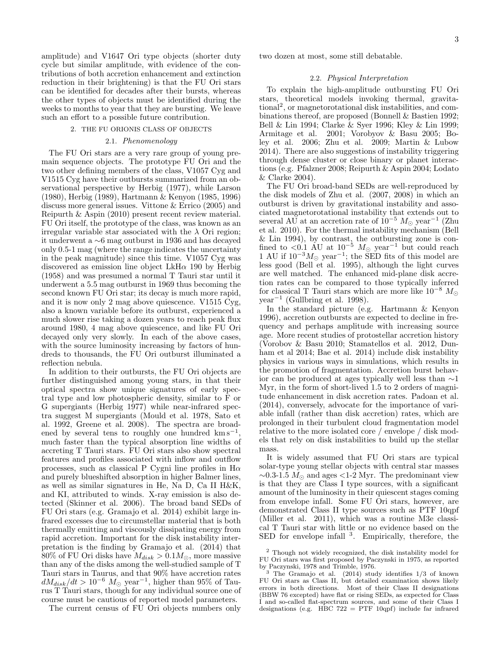amplitude) and V1647 Ori type objects (shorter duty cycle but similar amplitude, with evidence of the contributions of both accretion enhancement and extinction reduction in their brightening) is that the FU Ori stars can be identified for decades after their bursts, whereas the other types of objects must be identified during the weeks to months to year that they are bursting. We leave such an effort to a possible future contribution.

## 2. THE FU ORIONIS CLASS OF OBJECTS

### 2.1. Phenomenology

The FU Ori stars are a very rare group of young premain sequence objects. The prototype FU Ori and the two other defining members of the class, V1057 Cyg and V1515 Cyg have their outbursts summarized from an observational perspective by Herbig (1977), while Larson (1980), Herbig (1989), Hartmann & Kenyon (1985, 1996) discuss more general issues. Vittone & Errico (2005) and Reipurth & Aspin (2010) present recent review material. FU Ori itself, the prototype of the class, was known as an irregular variable star associated with the  $\lambda$  Ori region; it underwent a ∼6 mag outburst in 1936 and has decayed only 0.5-1 mag (where the range indicates the uncertainty in the peak magnitude) since this time. V1057 Cyg was discovered as emission line object  $LkH\alpha$  190 by Herbig (1958) and was presumed a normal T Tauri star until it underwent a 5.5 mag outburst in 1969 thus becoming the second known FU Ori star; its decay is much more rapid, and it is now only 2 mag above quiescence. V1515 Cyg, also a known variable before its outburst, experienced a much slower rise taking a dozen years to reach peak flux around 1980, 4 mag above quiescence, and like FU Ori decayed only very slowly. In each of the above cases, with the source luminosity increasing by factors of hundreds to thousands, the FU Ori outburst illuminated a reflection nebula.

In addition to their outbursts, the FU Ori objects are further distinguished among young stars, in that their optical spectra show unique signatures of early spectral type and low photospheric density, similar to F or G supergiants (Herbig 1977) while near-infrared spectra suggest M supergiants (Mould et al. 1978, Sato et al. 1992, Greene et al. 2008). The spectra are broadened by several tens to roughly one hundred  $\mathrm{km s}^{-1}$ , much faster than the typical absorption line widths of accreting T Tauri stars. FU Ori stars also show spectral features and profiles associated with inflow and outflow processes, such as classical P Cygni line profiles in  $H\alpha$ and purely blueshifted absorption in higher Balmer lines, as well as similar signatures in He, Na D, Ca II H&K, and KI, attributed to winds. X-ray emission is also detected (Skinner et al. 2006). The broad band SEDs of FU Ori stars (e.g. Gramajo et al. 2014) exhibit large infrared excesses due to circumstellar material that is both thermally emitting and viscously dissipating energy from rapid accretion. Important for the disk instability interpretation is the finding by Gramajo et al. (2014) that 80% of FU Ori disks have  $M_{disk} > 0.1 M_{\odot}$ , more massive than any of the disks among the well-studied sample of T Tauri stars in Taurus, and that 90% have accretion rates  $dM_{disk}/dt > 10^{-6}$   $M_{\odot}$  year<sup>-1</sup>, higher than 95% of Taurus T Tauri stars, though for any individual source one of course must be cautious of reported model parameters.

The current census of FU Ori objects numbers only

two dozen at most, some still debatable.

### 2.2. Physical Interpretation

To explain the high-amplitude outbursting FU Ori stars, theoretical models invoking thermal, gravitational<sup>2</sup> , or magnetorotational disk instabilities, and combinations thereof, are proposed (Bonnell & Bastien 1992; Bell & Lin 1994; Clarke & Syer 1996; Kley & Lin 1999; Armitage et al. 2001; Vorobyov & Basu 2005; Boley et al. 2006; Zhu et al. 2009; Martin & Lubow 2014). There are also suggestions of instability triggering through dense cluster or close binary or planet interactions (e.g. Pfalzner 2008; Reipurth & Aspin 2004; Lodato & Clarke 2004).

The FU Ori broad-band SEDs are well-reproduced by the disk models of Zhu et al. (2007, 2008) in which an outburst is driven by gravitational instability and associated magnetorotational instability that extends out to several AU at an accretion rate of  $10^{-5} M_{\odot}$  year<sup>-1</sup> (Zhu et al. 2010). For the thermal instability mechanism (Bell & Lin 1994), by contrast, the outbursting zone is confined to <0.1 AU at  $10^{-5}$   $M_{\odot}$  year<sup>-1</sup> but could reach 1 AU if  $10^{-3}M_{\odot}$  year<sup>-1</sup>; the SED fits of this model are less good (Bell et al. 1995), although the light curves are well matched. The enhanced mid-plane disk accretion rates can be compared to those typically inferred for classical T Tauri stars which are more like  $10^{-8}$  M<sub> $\odot$ </sub> year<sup>−</sup><sup>1</sup> (Gullbring et al. 1998).

In the standard picture (e.g. Hartmann & Kenyon 1996), accretion outbursts are expected to decline in frequency and perhaps amplitude with increasing source age. More recent studies of protostellar accretion history (Vorobov & Basu 2010; Stamatellos et al. 2012, Dunham et al 2014; Bae et al. 2014) include disk instability physics in various ways in simulations, which results in the promotion of fragmentation. Accretion burst behavior can be produced at ages typically well less than ∼1 Myr, in the form of short-lived 1.5 to 2 orders of magnitude enhancement in disk accretion rates. Padoan et al. (2014), conversely, advocate for the importance of variable infall (rather than disk accretion) rates, which are prolonged in their turbulent cloud fragmentation model relative to the more isolated core / envelope / disk models that rely on disk instabilities to build up the stellar mass.

It is widely assumed that FU Ori stars are typical solar-type young stellar objects with central star masses  $\sim$ 0.3-1.5  $M_{\odot}$  and ages <1-2 Myr. The predominant view is that they are Class I type sources, with a significant amount of the luminosity in their quiescent stages coming from envelope infall. Some FU Ori stars, however, are demonstrated Class II type sources such as PTF 10qpf (Miller et al. 2011), which was a routine M3e classical T Tauri star with little or no evidence based on the SED for envelope infall <sup>3</sup>. Empirically, therefore, the

<sup>2</sup> Though not widely recognized, the disk instability model for FU Ori stars was first proposed by Paczynski in 1975, as reported by Paczynski, 1978 and Trimble, 1976.

 $3$  The Gramajo et al. (2014) study identifies  $1/3$  of known FU Ori stars as Class II, but detailed examination shows likely errors in both directions. Most of their Class II designations (BBW 76 excepted) have flat or rising SEDs, as expected for Class I and so-called flat-spectrum sources, and some of their Class I designations (e.g. HBC 722 = PTF 10qpf) include far infrared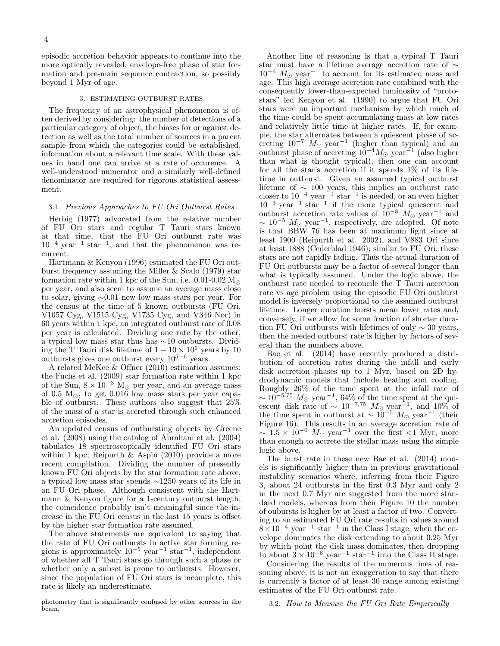episodic accretion behavior appears to continue into the more optically revealed, envelope-free phase of star formation and pre-main sequence contraction, so possibly beyond 1 Myr of age.

# 3. ESTIMATING OUTBURST RATES

The frequency of an astrophysical phenomenon is often derived by considering: the number of detections of a particular category of object, the biases for or against detection as well as the total number of sources in a parent sample from which the categories could be established, information about a relevant time scale. With these values in hand one can arrive at a rate of occurence. A well-understood numerator and a similarly well-defined denominator are required for rigorous statistical assessment.

# 3.1. Previous Approaches to FU Ori Outburst Rates

Herbig (1977) advocated from the relative number of FU Ori stars and regular T Tauri stars known at that time, that the FU Ori outburst rate was  $10^{-4}$  year<sup>-1</sup> star<sup>-1</sup>, and that the phenomenon was recurrent.

Hartmann & Kenyon (1996) estimated the FU Ori outburst frequency assuming the Miller & Scalo (1979) star formation rate within 1 kpc of the Sun, i.e.  $0.01\text{-}0.02 \text{ M}_{\odot}$ per year, and also seem to assume an average mass close to solar, giving ∼0.01 new low mass stars per year. For the census at the time of 5 known outbursts (FU Ori, V1057 Cyg, V1515 Cyg, V1735 Cyg, and V346 Nor) in 60 years within 1 kpc, an integrated outburst rate of 0.08 per year is calculated. Dividing one rate by the other, a typical low mass star thus has ∼10 outbursts. Dividing the T Tauri disk lifetime of  $1 - 10 \times 10^6$  years by 10 outbursts gives one outburst every  $10^{5-6}$  years.

A related McKee & Offner (2010) estimation assumes: the Fuchs et al. (2009) star formation rate within 1 kpc of the Sun,  $8 \times 10^{-3}$  M<sub>☉</sub> per year, and an average mass of 0.5  $M_{\odot}$ , to get 0.016 low mass stars per year capable of outburst. These authors also suggest that 25% of the mass of a star is accreted through such enhanced accretion episodes.

An updated census of outbursting objects by Greene et al. (2008) using the catalog of Abraham et al. (2004) tabulates 18 spectroscopically identified FU Ori stars within 1 kpc; Reipurth & Aspin (2010) provide a more recent compilation. Dividing the number of presently known FU Ori objects by the star formation rate above, a typical low mass star spends ∼1250 years of its life in an FU Ori phase. Although consistent with the Hartmann & Kenyon figure for a 1-century outburst length, the coincidence probably isn't meaningful since the increase in the FU Ori census in the last 15 years is offset by the higher star formation rate assumed.

The above statements are equivalent to saying that the rate of FU Ori outbursts in active star forming regions is approximately  $10^{-5}$  year<sup>-1</sup> star<sup>-1</sup>, independent of whether all T Tauri stars go through such a phase or whether only a subset is prone to outbursts. However, since the population of FU Ori stars is incomplete, this rate is likely an underestimate.

photometry that is significantly confused by other sources in the beam.

Another line of reasoning is that a typical T Tauri star must have a lifetime average accretion rate of  $\sim$  $10^{-6}$   $M_{\odot}$  year<sup>-1</sup> to account for its estimated mass and age. This high average accretion rate combined with the consequently lower-than-expected luminosity of "protostars" led Kenyon et al. (1990) to argue that FU Ori stars were an important mechanism by which much of the time could be spent accumulating mass at low rates and relatively little time at higher rates. If, for example, the star alternates between a quiescent phase of accreting  $10^{-7}$   $M_{\odot}$  year<sup>-1</sup> (higher than typical) and an outburst phase of accreting  $10^{-4} M_{\odot}$  year<sup>-1</sup> (also higher than what is thought typical), then one can account for all the star's accretion if it spends 1% of its lifetime in outburst. Given an assumed typical outburst lifetime of  $~\sim~100$  years, this implies an outburst rate closer to  $10^{-4}$  year<sup>-1</sup> star<sup>-1</sup> is needed, or an even higher  $10^{-3}$  year<sup>-1</sup> star<sup>-1</sup> if the more typical quiescent and outburst accretion rate values of  $10^{-8}$   $M_{\odot}$  year<sup>-1</sup> and  $\sim 10^{-5}$   $M_{\odot}$  year<sup>-1</sup>, respectively, are adopted. Of note is that BBW 76 has been at maximum light since at least 1900 (Reipurth et al. 2002), and V883 Ori since at least 1888 (Cederblad 1946); similar to FU Ori, these stars are not rapidly fading. Thus the actual duration of FU Ori outbursts may be a factor of several longer than what is typically assumed. Under the logic above, the outburst rate needed to reconcile the T Tauri accretion rate vs age problem using the episodic FU Ori outburst model is inversely proportional to the assumed outburst lifetime. Longer duration bursts mean lower rates and, conversely, if we allow for some fraction of shorter duration FU Ori outbursts with lifetimes of only  $\sim$  30 years, then the needed outburst rate is higher by factors of several than the numbers above.

Bae et al. (2014) have recently produced a distribution of accretion rates during the infall and early disk accretion phases up to 1 Myr, based on 2D hydrodynamic models that include heating and cooling. Roughly 26% of the time spent at the infall rate of  $\sim 10^{-5.75}$   $M_{\odot}$  year<sup>-1</sup>, 64% of the time spent at the quiescent disk rate of  $\sim 10^{-7.75}$   $M_{\odot}$  year<sup>-1</sup>, and 10% of the time spent in outburst at  $\sim 10^{-5}$   $M_{\odot}$  year<sup>-1</sup> (their Figure 16). This results in an average accretion rate of  $\sim 1.5 \times 10^{-6}$   $M_{\odot}$  year<sup>-1</sup> over the first <1 Myr, more than enough to accrete the stellar mass using the simple logic above.

The burst rate in these new Bae et al. (2014) models is significantly higher than in previous gravitational instability scenarios where, inferring from their Figure 3, about 24 outbursts in the first 0.3 Myr and only 2 in the next 0.7 Myr are suggested from the more standard models, whereas from their Figure 10 the number of oubursts is higher by at least a factor of two. Converting to an estimated FU Ori rate results in values around  $8\times10^{-4}$  year<sup>-1</sup> star<sup>-1</sup> in the Class I stage, when the envelope dominates the disk extending to about 0.25 Myr by which point the disk mass dominates, then dropping to about  $3 \times 10^{-6}$  year<sup>-1</sup> star<sup>-1</sup> into the Class II stage.

Considering the results of the numerous lines of reasoning above, it is not an exaggeration to say that there is currently a factor of at least 30 range among existing estimates of the FU Ori outburst rate.

#### 3.2. How to Measure the FU Ori Rate Empirically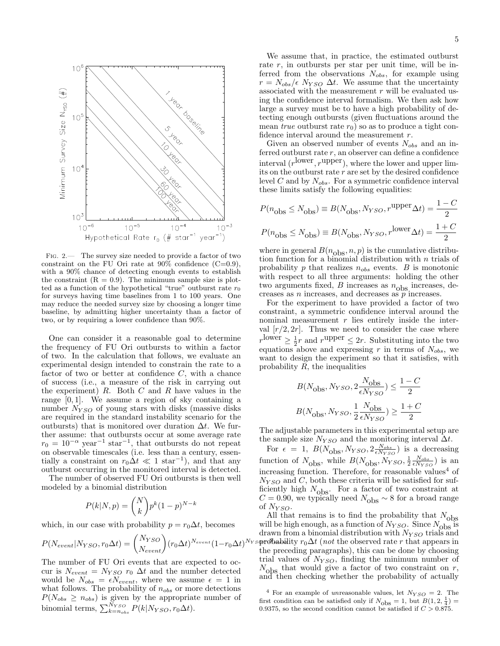

<span id="page-4-0"></span>Fig. 2.— The survey size needed to provide a factor of two constraint on the FU Ori rate at  $90\%$  confidence (C=0.9), with a 90% chance of detecting enough events to establish the constraint  $(R = 0.9)$ . The minimum sample size is plotted as a function of the hypothetical "true" outburst rate  $r_0$ for surveys having time baselines from 1 to 100 years. One may reduce the needed survey size by choosing a longer time baseline, by admitting higher uncertainty than a factor of two, or by requiring a lower confidence than 90%.

One can consider it a reasonable goal to determine the frequency of FU Ori outbursts to within a factor of two. In the calculation that follows, we evaluate an experimental design intended to constrain the rate to a factor of two or better at confidence  $C$ , with a chance of success (i.e., a measure of the risk in carrying out the experiment)  $R$ . Both  $C$  and  $R$  have values in the range  $[0, 1]$ . We assume a region of sky containing a number  $N_{YSO}$  of young stars with disks (massive disks are required in the standard instability scenario for the outbursts) that is monitored over duration  $\Delta t$ . We further assume: that outbursts occur at some average rate  $r_0 = 10^{-\alpha}$  year<sup>-1</sup> star<sup>-1</sup>, that outbursts do not repeat on observable timescales (i.e. less than a century, essentially a constraint on  $r_0 \Delta t \ll 1$  star<sup>-1</sup>), and that any outburst occurring in the monitored interval is detected.

The number of observed FU Ori outbursts is then well modeled by a binomial distribution

$$
P(k|N,p) = \binom{N}{k} p^k (1-p)^{N-k}
$$

which, in our case with probability  $p = r_0 \Delta t$ , becomes

$$
P(N_{event}|N_{YSO}, r_0\Delta t) = {N_{YSO} \choose N_{event}} (r_0\Delta t)^{N_{event}} (1 - r_0\Delta t)^N
$$

The number of FU Ori events that are expected to occur is  $N_{event} = N_{YSO}$   $r_0 \Delta t$  and the number detected would be  $N_{obs} = \epsilon N_{event}$ , where we assume  $\epsilon = 1$  in what follows. The probability of  $n_{obs}$  or more detections  $P(N_{obs} \ge n_{obs})$  is given by the appropriate number of binomial terms,  $\sum_{k=n_{obs}}^{N_{YSO}} P(k|N_{YSO}, r_0\Delta t)$ .

We assume that, in practice, the estimated outburst rate  $r$ , in outbursts per star per unit time, will be inferred from the observations  $N_{obs}$ , for example using  $r = N_{obs}/\epsilon N_{YSO} \Delta t$ . We assume that the uncertainty associated with the measurement  $r$  will be evaluated using the confidence interval formalism. We then ask how large a survey must be to have a high probability of detecting enough outbursts (given fluctuations around the mean true outburst rate  $r_0$ ) so as to produce a tight confidence interval around the measurement r.

Given an observed number of events  $N_{obs}$  and an inferred outburst rate  $r$ , an observer can define a confidence interval  $(r^{\text{lower}}, r^{\text{upper}})$ , where the lower and upper limits on the outburst rate  $r$  are set by the desired confidence level C and by  $N_{obs}$ . For a symmetric confidence interval these limits satisfy the following equalities:

$$
P(n_{\text{obs}} \le N_{\text{obs}}) \equiv B(N_{\text{obs}}, N_{YSO}, r^{\text{upper}}\Delta t) = \frac{1 - C}{2}
$$

$$
P(n_{\text{obs}} \le N_{\text{obs}}) \equiv B(N_{\text{obs}}, N_{YSO}, r^{\text{lower}}\Delta t) = \frac{1 + C}{2}
$$

where in general  $B(n_{\text{obs}}, n, p)$  is the cumulative distribution function for a binomial distribution with  $n$  trials of probability  $p$  that realizes  $n_{obs}$  events.  $B$  is monotonic with respect to all three arguments: holding the other two arguments fixed,  $B$  increases as  $n_{\text{obs}}$  increases, decreases as  $n$  increases, and decreases as  $\tilde{p}$  increases.

For the experiment to have provided a factor of two constraint, a symmetric confidence interval around the nominal measurement  $r$  lies entirely inside the interval  $[r/2, 2r]$ . Thus we need to consider the case where  $r^{\text{lower}} \geq \frac{1}{2}r$  and  $r^{\text{upper}} \leq 2r$ . Substituting into the two equations above and expressing r in terms of  $N_{obs}$ , we want to design the experiment so that it satisfies, with probability  $R$ , the inequalities

$$
\begin{aligned} & B(N_\mathrm{obs}, N_{YSO}, 2 \frac{N_\mathrm{obs}}{\epsilon N_{YSO}}) \leq \frac{1-C}{2} \\ & B(N_\mathrm{obs}, N_{YSO}, \frac{1}{2} \frac{N_\mathrm{obs}}{\epsilon N_{YSO}}) \geq \frac{1+C}{2} \end{aligned}
$$

The adjustable parameters in this experimental setup are the sample size  $N_{YSO}$  and the monitoring interval  $\Delta t$ .

For  $\epsilon = 1$ ,  $B(N_{\text{obs}}^{}, N_{YSO}^{}, 2 \frac{N_{obs}}{\epsilon N_{YSO}})$  is a decreasing function of  $N_{\text{obs}}$ , while  $B(N_{\text{obs}}, N_{YSO}, \frac{1}{2} \frac{N_{obs}}{\epsilon N_{YSO}})$  is an increasing function. Therefore, for reasonable values<sup>4</sup> of  $N_{YSO}$  and C, both these criteria will be satisfied for sufficiently high  $N_{\text{obs}}$ . For a factor of two constraint at  $C = 0.90$ , we typically need  $N_{\text{obs}} \sim 8$  for a broad range of  $N_{YSO}$ .

 $N_Y$ s**orobability**  $r_0 \Delta t$  (not the observed rate r that appears in All that remains is to find the probability that  $N_{\text{obs}}$ will be high enough, as a function of  $N_{YSO}$ . Since  $N_{\text{obs}}$  is drawn from a binomial distribution with  $N_{YSO}$  trials and the preceding paragraphs), this can be done by choosing trial values of  $N_{YSO}$ , finding the minimum number of  $N_{\text{obs}}$  that would give a factor of two constraint on r, and then checking whether the probability of actually

<sup>4</sup> For an example of unreasonable values, let  $N_{YSO} = 2$ . The first condition can be satisfied only if  $N_{\text{obs}} = 1$ , but  $B(1, 2, \frac{1}{4}) =$ 0.9375, so the second condition cannot be satisfied if  $C > 0.875$ .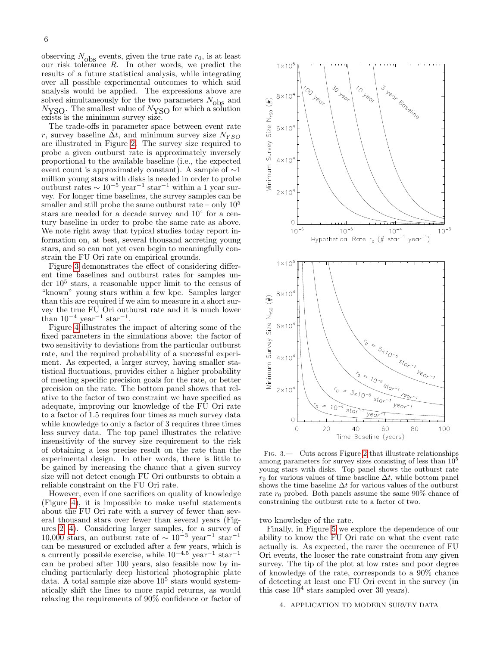observing  $N_{\text{obs}}$  events, given the true rate  $r_0$ , is at least our risk tolerance R. In other words, we predict the results of a future statistical analysis, while integrating over all possible experimental outcomes to which said analysis would be applied. The expressions above are solved simultaneously for the two parameters  $N_{\text{obs}}$  and  $N_{\text{YSO}}$ . The smallest value of  $N_{\text{YSO}}$  for which a solution exists is the minimum survey size.

The trade-offs in parameter space between event rate r, survey baseline  $\Delta t$ , and minimum survey size  $N_{YSO}$ are illustrated in Figure [2.](#page-4-0) The survey size required to probe a given outburst rate is approximately inversely proportional to the available baseline (i.e., the expected event count is approximately constant). A sample of ∼1 million young stars with disks is needed in order to probe outburst rates  $\sim 10^{-5}$  year<sup>-1</sup> star<sup>-1</sup> within a 1 year survey. For longer time baselines, the survey samples can be smaller and still probe the same outburst rate – only  $10^5$ stars are needed for a decade survey and  $10<sup>4</sup>$  for a century baseline in order to probe the same rate as above. We note right away that typical studies today report information on, at best, several thousand accreting young stars, and so can not yet even begin to meaningfully constrain the FU Ori rate on empirical grounds.

Figure [3](#page-5-0) demonstrates the effect of considering different time baselines and outburst rates for samples under  $10<sup>5</sup>$  stars, a reasonable upper limit to the census of "known" young stars within a few kpc. Samples larger than this are required if we aim to measure in a short survey the true FU Ori outburst rate and it is much lower than  $10^{-4}$  year<sup>-1</sup> star<sup>-1</sup>.

Figure [4](#page-6-0) illustrates the impact of altering some of the fixed parameters in the simulations above: the factor of two sensitivity to deviations from the particular outburst rate, and the required probability of a successful experiment. As expected, a larger survey, having smaller statistical fluctuations, provides either a higher probability of meeting specific precision goals for the rate, or better precision on the rate. The bottom panel shows that relative to the factor of two constraint we have specified as adequate, improving our knowledge of the FU Ori rate to a factor of 1.5 requires four times as much survey data while knowledge to only a factor of 3 requires three times less survey data. The top panel illustrates the relative insensitivity of the survey size requirement to the risk of obtaining a less precise result on the rate than the experimental design. In other words, there is little to be gained by increasing the chance that a given survey size will not detect enough FU Ori outbursts to obtain a reliable constraint on the FU Ori rate.

However, even if one sacrifices on quality of knowledge (Figure [4\)](#page-6-0), it is impossible to make useful statements about the FU Ori rate with a survey of fewer than several thousand stars over fewer than several years (Figures [2,](#page-4-0) [4\)](#page-6-0). Considering larger samples, for a survey of 10,000 stars, an outburst rate of  $\sim 10^{-3}$  year<sup>-1</sup> star<sup>-1</sup> can be measured or excluded after a few years, which is a currently possible exercise, while  $10^{-4.5}$  year<sup>-1</sup> star<sup>-1</sup> can be probed after 100 years, also feasible now by including particularly deep historical photographic plate data. A total sample size above  $10^5$  stars would systematically shift the lines to more rapid returns, as would relaxing the requirements of 90% confidence or factor of



<span id="page-5-0"></span>Fig. 3.— Cuts across Figure [2](#page-4-0) that illustrate relationships among parameters for survey sizes consisting of less than  $10^5$ young stars with disks. Top panel shows the outburst rate  $r_0$  for various values of time baseline  $\Delta t$ , while bottom panel shows the time baseline  $\Delta t$  for various values of the outburst rate  $r_0$  probed. Both panels assume the same  $90\%$  chance of constraining the outburst rate to a factor of two.

two knowledge of the rate.

Finally, in Figure [5](#page-6-1) we explore the dependence of our ability to know the FU Ori rate on what the event rate actually is. As expected, the rarer the occurence of FU Ori events, the looser the rate constraint from any given survey. The tip of the plot at low rates and poor degree of knowledge of the rate, corresponds to a 90% chance of detecting at least one FU Ori event in the survey (in this case  $10^4$  stars sampled over 30 years).

# 4. APPLICATION TO MODERN SURVEY DATA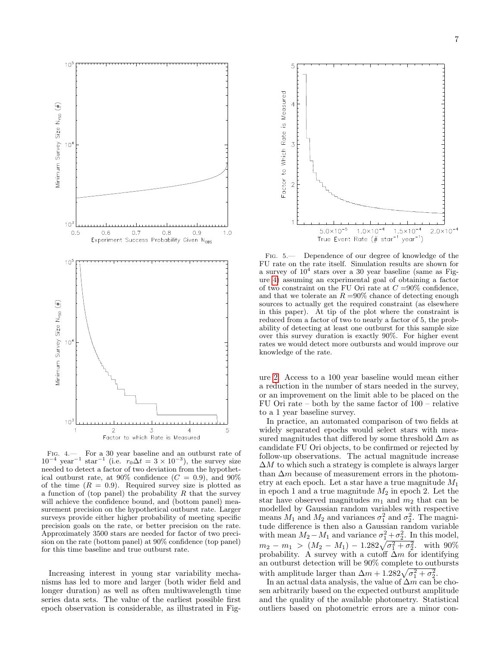

<span id="page-6-0"></span>Fig. 4.— For a 30 year baseline and an outburst rate of  $10^{-4}$  year<sup>-1</sup> star<sup>-1</sup> (i.e.  $r_0 \Delta t = 3 \times 10^{-3}$ ), the survey size needed to detect a factor of two deviation from the hypothetical outburst rate, at 90% confidence  $(C = 0.9)$ , and 90% of the time  $(R = 0.9)$ . Required survey size is plotted as a function of (top panel) the probability  $R$  that the survey will achieve the confidence bound, and (bottom panel) measurement precision on the hypothetical outburst rate. Larger surveys provide either higher probability of meeting specific precision goals on the rate, or better precision on the rate. Approximately 3500 stars are needed for factor of two precision on the rate (bottom panel) at 90% confidence (top panel) for this time baseline and true outburst rate.

Increasing interest in young star variability mechanisms has led to more and larger (both wider field and longer duration) as well as often multiwavelength time series data sets. The value of the earliest possible first epoch observation is considerable, as illustrated in Fig-



<span id="page-6-1"></span>Fig. 5.— Dependence of our degree of knowledge of the FU rate on the rate itself. Simulation results are shown for a survey of  $10^4$  stars over a 30 year baseline (same as Figure [4\)](#page-6-0) assuming an experimental goal of obtaining a factor of two constraint on the FU Ori rate at  $C = 90\%$  confidence, and that we tolerate an  $R = 90\%$  chance of detecting enough sources to actually get the required constraint (as elsewhere in this paper). At tip of the plot where the constraint is reduced from a factor of two to nearly a factor of 5, the probability of detecting at least one outburst for this sample size over this survey duration is exactly 90%. For higher event rates we would detect more outbursts and would improve our knowledge of the rate.

ure [2.](#page-4-0) Access to a 100 year baseline would mean either a reduction in the number of stars needed in the survey, or an improvement on the limit able to be placed on the FU Ori rate – both by the same factor of 100 – relative to a 1 year baseline survey.

In practice, an automated comparison of two fields at widely separated epochs would select stars with measured magnitudes that differed by some threshold  $\Delta m$  as candidate FU Ori objects, to be confirmed or rejected by follow-up observations. The actual magnitude increase  $\Delta M$  to which such a strategy is complete is always larger than  $\Delta m$  because of measurement errors in the photometry at each epoch. Let a star have a true magnitude  $M_1$ in epoch 1 and a true magnitude  $M_2$  in epoch 2. Let the star have observed magnitudes  $m_1$  and  $m_2$  that can be modelled by Gaussian random variables with respective means  $M_1$  and  $M_2$  and variances  $\sigma_1^2$  and  $\sigma_2^2$ . The magnitude difference is then also a Gaussian random variable with mean  $M_2 - M_1$  and variance  $\sigma_1^2 + \sigma_2^2$ . In this model,  $m_2 - m_1 > (M_2 - M_1) - 1.282\sqrt{\sigma_1^2 + \sigma_2^2}$ . with 90% probability. A survey with a cutoff  $\Delta m$  for identifying an outburst detection will be 90% complete to outbursts with amplitude larger than  $\Delta m + 1.282\sqrt{\sigma_1^2 + \sigma_2^2}$ .

In an actual data analysis, the value of  $\Delta m$  can be chosen arbitrarily based on the expected outburst amplitude and the quality of the available photometry. Statistical outliers based on photometric errors are a minor con-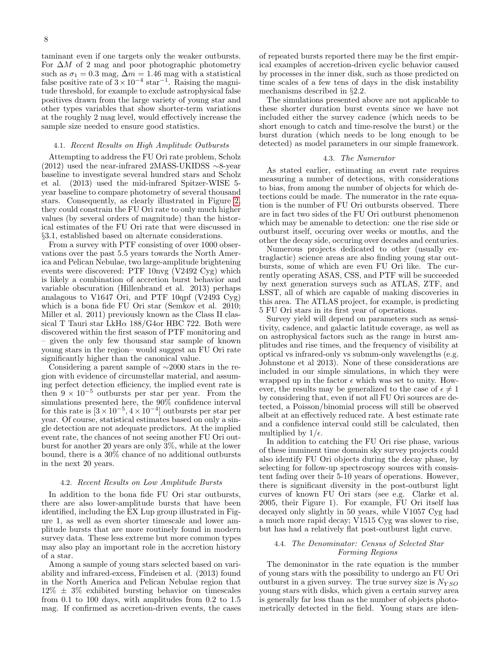taminant even if one targets only the weaker outbursts. For  $\Delta M$  of 2 mag and poor photographic photometry such as  $\sigma_1 = 0.3$  mag,  $\Delta m = 1.46$  mag with a statistical false positive rate of  $3 \times 10^{-4}$  star<sup>-1</sup>. Raising the magnitude threshold, for example to exclude astrophysical false positives drawn from the large variety of young star and other types variables that show shorter-term variations at the roughly 2 mag level, would effectively increase the sample size needed to ensure good statistics.

### 4.1. Recent Results on High Amplitude Outbursts

Attempting to address the FU Ori rate problem, Scholz (2012) used the near-infrared 2MASS-UKIDSS  $\sim$ 8-year baseline to investigate several hundred stars and Scholz et al. (2013) used the mid-infrared Spitzer-WISE 5 year baseline to compare photometry of several thousand stars. Consequently, as clearly illustrated in Figure [2,](#page-4-0) they could constrain the FU Ori rate to only much higher values (by several orders of magnitude) than the historical estimates of the FU Ori rate that were discussed in §3.1, established based on alternate considerations.

From a survey with PTF consisting of over 1000 observations over the past 5.5 years towards the North America and Pelican Nebulae, two large-amplitude brightening events were discovered: PTF 10nvg (V2492 Cyg) which is likely a combination of accretion burst behavior and variable obscuration (Hillenbrand et al. 2013) perhaps analagous to V1647 Ori, and PTF 10qpf (V2493 Cyg) which is a bona fide FU Ori star (Semkov et al. 2010; Miller et al. 2011) previously known as the Class II classical T Tauri star LkH $\alpha$  188/G4or HBC 722. Both were discovered within the first season of PTF monitoring and – given the only few thousand star sample of known young stars in the region– would suggest an FU Ori rate significantly higher than the canonical value.

Considering a parent sample of ∼2000 stars in the region with evidence of circumstellar material, and assuming perfect detection efficiency, the implied event rate is then  $9 \times 10^{-5}$  outbursts per star per year. From the simulations presented here, the 90% confidence interval for this rate is  $[3 \times 10^{-5}, 4 \times 10^{-4}]$  outbursts per star per year. Of course, statistical estimates based on only a single detection are not adequate predictors. At the implied event rate, the chances of not seeing another FU Ori outburst for another 20 years are only 3%, while at the lower bound, there is a 30% chance of no additional outbursts in the next 20 years.

#### 4.2. Recent Results on Low Amplitude Bursts

In addition to the bona fide FU Ori star outbursts, there are also lower-amplitude bursts that have been identified, including the EX Lup group illustrated in Figure 1, as well as even shorter timescale and lower amplitude bursts that are more routinely found in modern survey data. These less extreme but more common types may also play an important role in the accretion history of a star.

Among a sample of young stars selected based on variability and infrared-excess, Findeisen et al. (2013) found in the North America and Pelican Nebulae region that  $12\% \pm 3\%$  exhibited bursting behavior on timescales from 0.1 to 100 days, with amplitudes from 0.2 to 1.5 mag. If confirmed as accretion-driven events, the cases

of repeated bursts reported there may be the first empirical examples of accretion-driven cyclic behavior caused by processes in the inner disk, such as those predicted on time scales of a few tens of days in the disk instability mechanisms described in §2.2.

The simulations presented above are not applicable to these shorter duration burst events since we have not included either the survey cadence (which needs to be short enough to catch and time-resolve the burst) or the burst duration (which needs to be long enough to be detected) as model parameters in our simple framework.

### 4.3. The Numerator

As stated earlier, estimating an event rate requires measuring a number of detections, with considerations to bias, from among the number of objects for which detections could be made. The numerator in the rate equation is the number of FU Ori outbursts observed. There are in fact two sides of the FU Ori outburst phenomenon which may be amenable to detection: one the rise side or outburst itself, occuring over weeks or months, and the other the decay side, occuring over decades and centuries.

Numerous projects dedicated to other (usually extraglactic) science areas are also finding young star outbursts, some of which are even FU Ori like. The currently operating ASAS, CSS, and PTF will be succeeded by next generation surveys such as ATLAS, ZTF, and LSST, all of which are capable of making discoveries in this area. The ATLAS project, for example, is predicting 5 FU Ori stars in its first year of operations.

Survey yield will depend on parameters such as sensitivity, cadence, and galactic latitude coverage, as well as on astrophysical factors such as the range in burst amplitudes and rise times, and the frequency of visibility at optical vs infrared-only vs submm-only wavelengths (e.g. Johnstone et al 2013). None of these considerations are included in our simple simulations, in which they were wrapped up in the factor  $\epsilon$  which was set to unity. However, the results may be generalized to the case of  $\epsilon \neq 1$ by considering that, even if not all FU Ori sources are detected, a Poisson/binomial process will still be observed albeit at an effectively reduced rate. A best estimate rate and a confidence interval could still be calculated, then multiplied by  $1/\epsilon$ .

In addition to catching the FU Ori rise phase, various of these imminent time domain sky survey projects could also identify FU Ori objects during the decay phase, by selecting for follow-up spectroscopy sources with consistent fading over their 5-10 years of operations. However, there is significant diversity in the post-outburst light curves of known FU Ori stars (see e.g. Clarke et al. 2005, their Figure 1). For example, FU Ori itself has decayed only slightly in 50 years, while V1057 Cyg had a much more rapid decay; V1515 Cyg was slower to rise, but has had a relatively flat post-outburst light curve.

# 4.4. The Denominator: Census of Selected Star Forming Regions

The demoninator in the rate equation is the number of young stars with the possibility to undergo an FU Ori outburst in a given survey. The true survey size is  $N_{YSO}$ young stars with disks, which given a certain survey area is generally far less than as the number of objects photometrically detected in the field. Young stars are iden-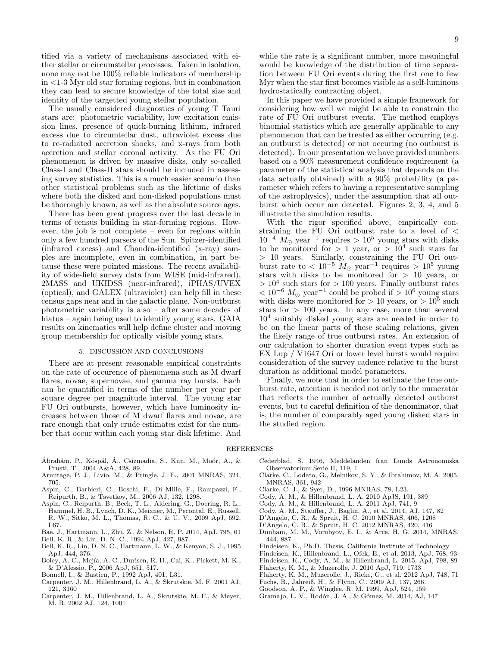tified via a variety of mechanisms associated with either stellar or circumstellar processes. Taken in isolation, none may not be 100% reliable indicators of membership in <1-3 Myr old star forming regions, but in combination they can lead to secure knowledge of the total size and identity of the targetted young stellar population.

The usually considered diagnostics of young T Tauri stars are: photometric variability, low excitation emission lines, presence of quick-burning lithium, infrared excess due to circumtellar dust, ultraviolet excess due to re-radiated accretion shocks, and x-rays from both accretion and stellar coronal activity. As the FU Ori phenomenon is driven by massive disks, only so-called Class-I and Class-II stars should be included in assessing survey statistics. This is a much easier scenario than other statistical problems such as the lifetime of disks where both the disked and non-disked populations must be thoroughly known, as well as the absolute source ages.

There has been great progress over the last decade in terms of census building in star-forming regions. However, the job is not complete – even for regions within only a few hundred parsecs of the Sun. Spitzer-identified (infrared excess) and Chandra-identified (x-ray) samples are incomplete, even in combination, in part because these were pointed missions. The recent availability of wide-field survey data from WISE (mid-infrared), 2MASS and UKIDSS (near-infrared), iPHAS/UVEX (optical), and GALEX (ultraviolet) can help fill in these census gaps near and in the galactic plane. Non-outburst photometric variability is also – after some decades of hiatus – again being used to identify young stars. GAIA results on kinematics will help define cluster and moving group membership for optically visible young stars.

### 5. DISCUSSION AND CONCLUSIONS

There are at present reasonable empirical constraints on the rate of occurence of phenomena such as M dwarf flares, novae, supernovae, and gamma ray bursts. Each can be quantified in terms of the number per year per square degree per magnitude interval. The young star FU Ori outbursts, however, which have luminosity increases between those of M dwarf flares and novae, are rare enough that only crude estimates exist for the number that occur within each young star disk lifetime. And

while the rate is a significant number, more meaningful would be knowledge of the distribution of time separation between FU Ori events during the first one to few Myr when the star first becomes visible as a self-luminous hydrostatically contracting object.

In this paper we have provided a simple framework for considering how well we might be able to constrain the rate of FU Ori outburst events. The method employs binomial statistics which are generally applicable to any phenomenon that can be treated as either occurring (e.g. an outburst is detected) or not occuring (no outburst is detected). In our presentation we have provided numbers based on a 90% measurement confidence requirement (a parameter of the statistical analysis that depends on the data actually obtained) with a 90% probability (a parameter which refers to having a representative sampling of the astrophysics), under the assumption that all outburst which occur are detected. Figures 2, 3, 4, and 5 illustrate the simulation results.

With the rigor specified above, empirically constraining the FU Ori outburst rate to a level of  $\lt$  $10^{-4}$   $M_{\odot}$  year<sup>-1</sup> requires >  $10^{5}$  young stars with disks to be monitored for  $> 1$  year, or  $> 10<sup>4</sup>$  such stars for > 10 years. Similarly, constraining the FU Ori outburst rate to  $< 10^{-5}$   $M_{\odot}$  year<sup>-1</sup> requires > 10<sup>5</sup> young stars with disks to be monitored for  $> 10$  years, or  $> 10<sup>4</sup>$  such stars for  $> 100$  years. Finally outburst rates  $< 10^{-6}$  M<sub>☉</sub> year<sup>-1</sup> could be probed if  $> 10^{6}$  young stars with disks were monitored for  $> 10$  years, or  $> 10^5$  such stars for  $> 100$  years. In any case, more than several 10<sup>4</sup> suitably disked young stars are needed in order to be on the linear parts of these scaling relations, given the likely range of true outburst rates. An extension of our calculation to shorter duration event types such as EX Lup / V1647 Ori or lower level bursts would require consideration of the survey cadence relative to the burst duration as additional model parameters.

Finally, we note that in order to estimate the true outburst rate, attention is needed not only to the numerator that reflects the number of actually detected outburst events, but to careful definition of the denominator, that is, the number of comparably aged young disked stars in the studied region.

#### REFERENCES

- Ábrahám, P., Kóspál, Á., Csizmadia, S., Kun, M., Moór, A., & Prusti, T., 2004 A&A, 428, 89.
- Armitage, P. J., Livio, M., & Pringle, J. E., 2001 MNRAS, 324, 705.
- Aspin, C., Barbieri, C., Boschi, F., Di Mille, F., Rampazzi, F., Reipurth, B., & Tsvetkov, M., 2006 AJ, 132, 1298.
- Aspin, C., Reipurth, B., Beck, T. L., Aldering, G., Doering, R. L., Hammel, H. B., Lynch, D. K., Meixner, M., Pecontal, E., Russell, R. W., Sitko, M. L., Thomas, R. C., & U, V., 2009 ApJ, 692, L67.
- Bae, J., Hartmann, L., Zhu, Z., & Nelson, R. P. 2014, ApJ, 795, 61
- Bell, K. R., & Lin, D. N. C., 1994 ApJ, 427, 987.
- Bell, K. R., Lin, D. N. C., Hartmann, L. W., & Kenyon, S. J., 1995 ApJ, 444, 376.
- Boley, A. C., Mejía, A. C., Durisen, R. H., Cai, K., Pickett, M. K., & D'Alessio, P., 2006 ApJ, 651, 517.
- Bonnell, I., & Bastien, P., 1992 ApJ, 401, L31.
- Carpenter, J. M., Hillenbrand, L. A., & Skrutskie, M. F. 2001 AJ, 121, 3160
- Carpenter, J. M., Hillenbrand, L. A., Skrutskie, M. F., & Meyer, M. R. 2002 AJ, 124, 1001
- Cederblad, S. 1946, Meddelanden fran Lunds Astronomiska Observatorium Serie II, 119, 1
- Clarke, C., Lodato, G., Melnikov, S. Y., & Ibrahimov, M. A. 2005, MNRAS, 361, 942
- Clarke, C. J., & Syer, D., 1996 MNRAS, 78, L23.
- Cody, A. M., & Hillenbrand, L. A. 2010 ApJS, 191, 389
- Cody, A. M., & Hillenbrand, L. A. 2011 ApJ, 741, 9
- Cody, A. M., Stauffer, J., Baglin, A., et al. 2014, AJ, 147, 82
- D'Angelo, C. R., & Spruit, H. C. 2010 MNRAS, 406, 1208
- D'Angelo, C. R., & Spruit, H. C. 2012 MNRAS, 420, 416
- Dunham, M. M., Vorobyov, E. I., & Arce, H. G. 2014, MNRAS, 444, 887
- Findeisen, K., Ph.D. Thesis, California Institute of Technology
- Findeisen, K., Hillenbrand, L., Ofek, E., et al. 2013, ApJ, 768, 93
- Findeisen, K., Cody, A. M., & Hillenbrand, L. 2015, ApJ, 798, 89
- Flaherty, K. M., & Muzerolle, J. 2010 ApJ, 719, 1733
- Flaherty, K. M., Muzerolle, J., Rieke, G., et al. 2012 ApJ, 748, 71
- Fuchs, B., Jahreiß, H., & Flynn, C., 2009 AJ, 137, 266.
- Goodson, A. P., & Winglee, R. M. 1999, ApJ, 524, 159
- Gramajo, L. V., Rodón, J. A., & Gómez, M. 2014, AJ, 147